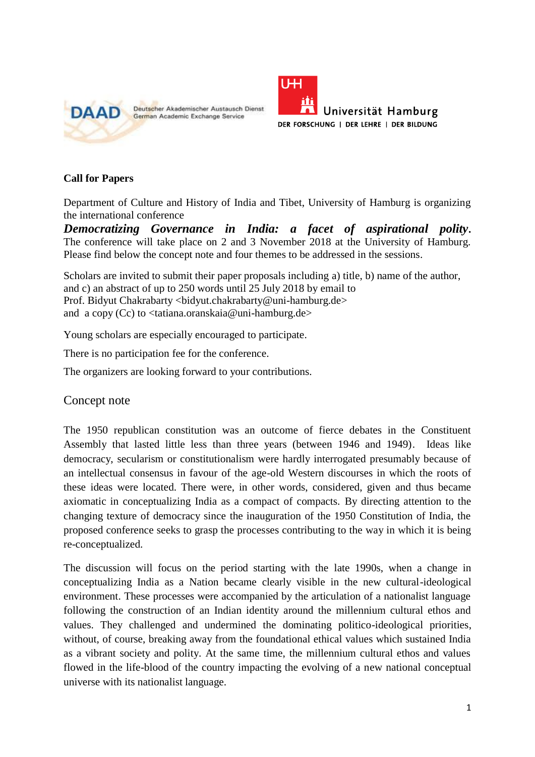

Deutscher Akademischer Austausch Dienst German Academic Exchange Service



## **Call for Papers**

Department of Culture and History of India and Tibet, University of Hamburg is organizing the international conference

*Democratizing Governance in India: a facet of aspirational polity***.**  The conference will take place on 2 and 3 November 2018 at the University of Hamburg. Please find below the concept note and four themes to be addressed in the sessions.

Scholars are invited to submit their paper proposals including a) title, b) name of the author, and c) an abstract of up to 250 words until 25 July 2018 by email to Prof. Bidyut Chakrabarty <bidyut.chakrabarty@uni-hamburg.de> and a copy (Cc) to <tatiana.oranskaia@uni-hamburg.de>

Young scholars are especially encouraged to participate.

There is no participation fee for the conference.

The organizers are looking forward to your contributions.

Concept note

The 1950 republican constitution was an outcome of fierce debates in the Constituent Assembly that lasted little less than three years (between 1946 and 1949). Ideas like democracy, secularism or constitutionalism were hardly interrogated presumably because of an intellectual consensus in favour of the age-old Western discourses in which the roots of these ideas were located. There were, in other words, considered, given and thus became axiomatic in conceptualizing India as a compact of compacts. By directing attention to the changing texture of democracy since the inauguration of the 1950 Constitution of India, the proposed conference seeks to grasp the processes contributing to the way in which it is being re-conceptualized.

The discussion will focus on the period starting with the late 1990s, when a change in conceptualizing India as a Nation became clearly visible in the new cultural-ideological environment. These processes were accompanied by the articulation of a nationalist language following the construction of an Indian identity around the millennium cultural ethos and values. They challenged and undermined the dominating politico-ideological priorities, without, of course, breaking away from the foundational ethical values which sustained India as a vibrant society and polity. At the same time, the millennium cultural ethos and values flowed in the life-blood of the country impacting the evolving of a new national conceptual universe with its nationalist language.